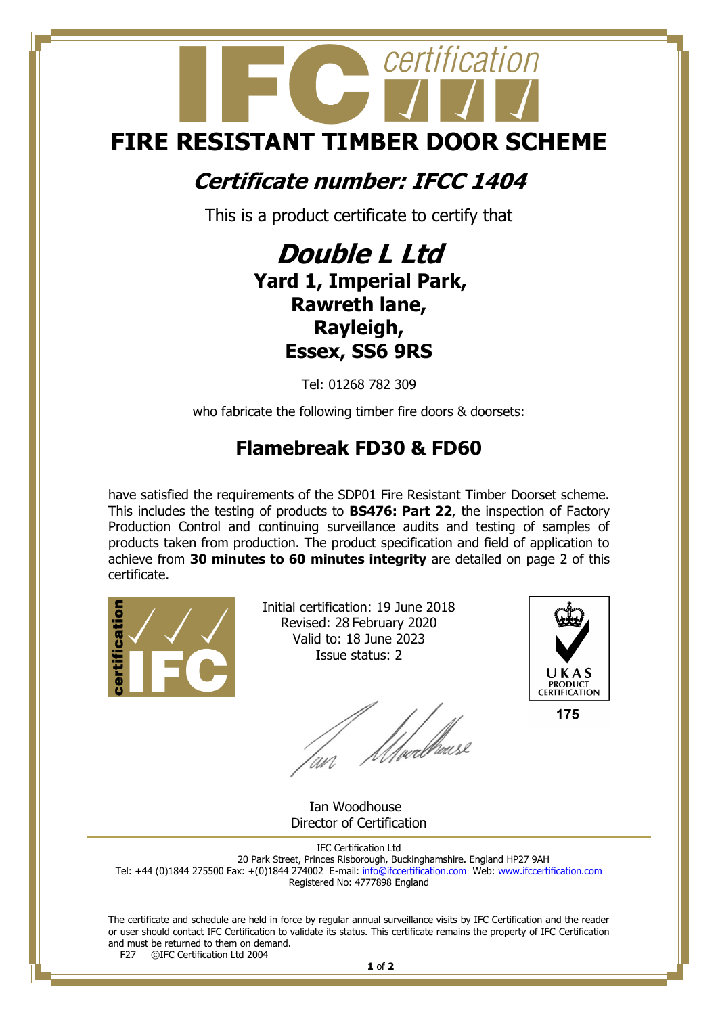## certification **FIRE RESISTANT TIMBER DOOR SCHEME**

## **Certificate number: IFCC 1404**

This is a product certificate to certify that

## **Double L Ltd Yard 1, Imperial Park, Rawreth lane, Rayleigh, Essex, SS6 9RS**

Tel: 01268 782 309

who fabricate the following timber fire doors & doorsets:

## **Flamebreak FD30 & FD60**

have satisfied the requirements of the SDP01 Fire Resistant Timber Doorset scheme. This includes the testing of products to **BS476: Part 22**, the inspection of Factory Production Control and continuing surveillance audits and testing of samples of products taken from production. The product specification and field of application to achieve from **30 minutes to 60 minutes integrity** are detailed on page 2 of this certificate.



Initial certification: 19 June 2018 Revised: 28 February 2020 Valid to: 18 June 2023 Issue status: 2

UKAS **PRODUCT<br>CERTIFICATION** 

175

 Ian Woodhouse Director of Certification

IFC Certification Ltd 20 Park Street, Princes Risborough, Buckinghamshire. England HP27 9AH Tel: +44 (0)1844 275500 Fax: +(0)1844 274002 E-mail[: info@ifccertification.com](mailto:info@ifccertification.com) Web: [www.ifccertification.com](http://www.ifccertification.com/) Registered No: 4777898 England

The certificate and schedule are held in force by regular annual surveillance visits by IFC Certification and the reader or user should contact IFC Certification to validate its status. This certificate remains the property of IFC Certification and must be returned to them on demand.<br> $F27$  © TEC Certification Ltd 2004 ©IFC Certification Ltd 2004